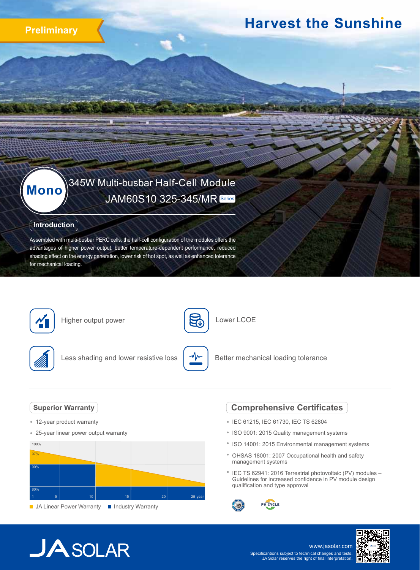

## **Harvest the Sunshine**

# 345W Multi-busbar Half-Cell Module **Mono** JAM60S10 325-345/MR Series

## **Introduction**

Assembled with multi-busbar PERC cells, the half-cell configuration of the modules offers the advantages of higher power output, better temperature-dependent performance, reduced shading effect on the energy generation, lower risk of hot spot, as well as enhanced tolerance for mechanical loading.



Higher output power



Lower LCOE



Less shading and lower resistive loss



Better mechanical loading tolerance

## **Superior Warranty**

- 12-year product warranty
- 25-year linear power output warranty



## **Comprehensive Certificates**

- IEC 61215, IEC 61730, IEC TS 62804
- ISO 9001: 2015 Quality management systems
- ISO 14001: 2015 Environmental management systems
- OHSAS 18001: 2007 Occupational health and safety management systems
- <sup>\*</sup> IEC TS 62941: 2016 Terrestrial photovoltaic (PV) modules -Guidelines for increased confidence in PV module design qualification and type approval



## **JA** SOLAR

www.jasolar.com Specificantions subject to technical changes and tests. JA Solar reserves the right of final interpretation.